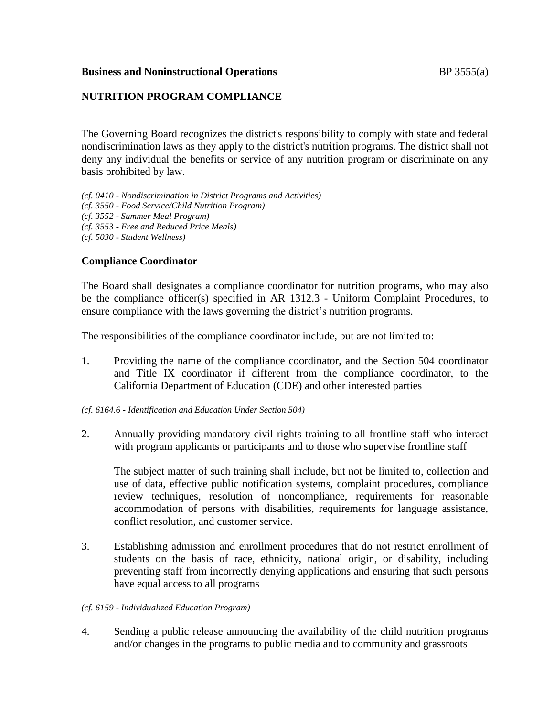### **Business and Noninstructional Operations BP** 3555(a)

# **NUTRITION PROGRAM COMPLIANCE**

The Governing Board recognizes the district's responsibility to comply with state and federal nondiscrimination laws as they apply to the district's nutrition programs. The district shall not deny any individual the benefits or service of any nutrition program or discriminate on any basis prohibited by law.

*(cf. 0410 - Nondiscrimination in District Programs and Activities) (cf. 3550 - Food Service/Child Nutrition Program) (cf. 3552 - Summer Meal Program) (cf. 3553 - Free and Reduced Price Meals) (cf. 5030 - Student Wellness)*

**Compliance Coordinator**

The Board shall designates a compliance coordinator for nutrition programs, who may also be the compliance officer(s) specified in AR 1312.3 - Uniform Complaint Procedures, to

ensure compliance with the laws governing the district's nutrition programs.

The responsibilities of the compliance coordinator include, but are not limited to:

1. Providing the name of the compliance coordinator, and the Section 504 coordinator and Title IX coordinator if different from the compliance coordinator, to the California Department of Education (CDE) and other interested parties

*(cf. 6164.6 - Identification and Education Under Section 504)*

2. Annually providing mandatory civil rights training to all frontline staff who interact with program applicants or participants and to those who supervise frontline staff

The subject matter of such training shall include, but not be limited to, collection and use of data, effective public notification systems, complaint procedures, compliance review techniques, resolution of noncompliance, requirements for reasonable accommodation of persons with disabilities, requirements for language assistance, conflict resolution, and customer service.

3. Establishing admission and enrollment procedures that do not restrict enrollment of students on the basis of race, ethnicity, national origin, or disability, including preventing staff from incorrectly denying applications and ensuring that such persons have equal access to all programs

#### *(cf. 6159 - Individualized Education Program)*

4. Sending a public release announcing the availability of the child nutrition programs and/or changes in the programs to public media and to community and grassroots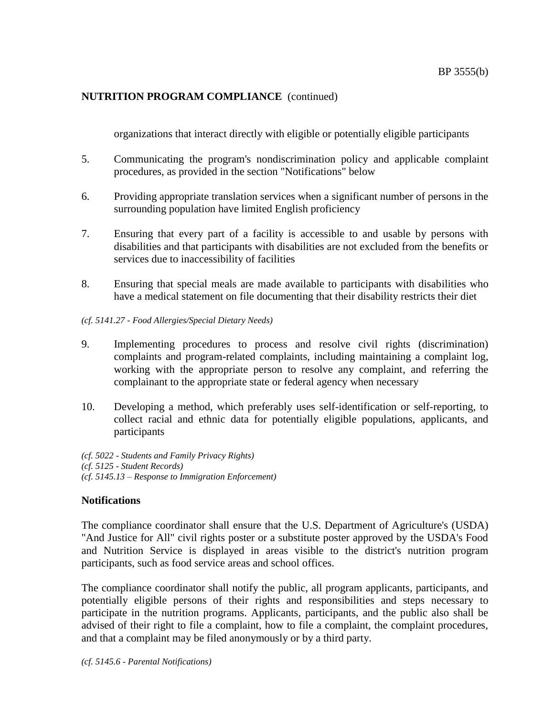organizations that interact directly with eligible or potentially eligible participants

- 5. Communicating the program's nondiscrimination policy and applicable complaint procedures, as provided in the section "Notifications" below
- 6. Providing appropriate translation services when a significant number of persons in the surrounding population have limited English proficiency
- 7. Ensuring that every part of a facility is accessible to and usable by persons with disabilities and that participants with disabilities are not excluded from the benefits or services due to inaccessibility of facilities
- 8. Ensuring that special meals are made available to participants with disabilities who have a medical statement on file documenting that their disability restricts their diet
- *(cf. 5141.27 - Food Allergies/Special Dietary Needs)*
- 9. Implementing procedures to process and resolve civil rights (discrimination) complaints and program-related complaints, including maintaining a complaint log, working with the appropriate person to resolve any complaint, and referring the complainant to the appropriate state or federal agency when necessary
- 10. Developing a method, which preferably uses self-identification or self-reporting, to collect racial and ethnic data for potentially eligible populations, applicants, and participants
- *(cf. 5022 - Students and Family Privacy Rights) (cf. 5125 - Student Records) (cf. 5145.13 – Response to Immigration Enforcement)*

# **Notifications**

The compliance coordinator shall ensure that the U.S. Department of Agriculture's (USDA) "And Justice for All" civil rights poster or a substitute poster approved by the USDA's Food and Nutrition Service is displayed in areas visible to the district's nutrition program participants, such as food service areas and school offices.

The compliance coordinator shall notify the public, all program applicants, participants, and potentially eligible persons of their rights and responsibilities and steps necessary to participate in the nutrition programs. Applicants, participants, and the public also shall be advised of their right to file a complaint, how to file a complaint, the complaint procedures, and that a complaint may be filed anonymously or by a third party.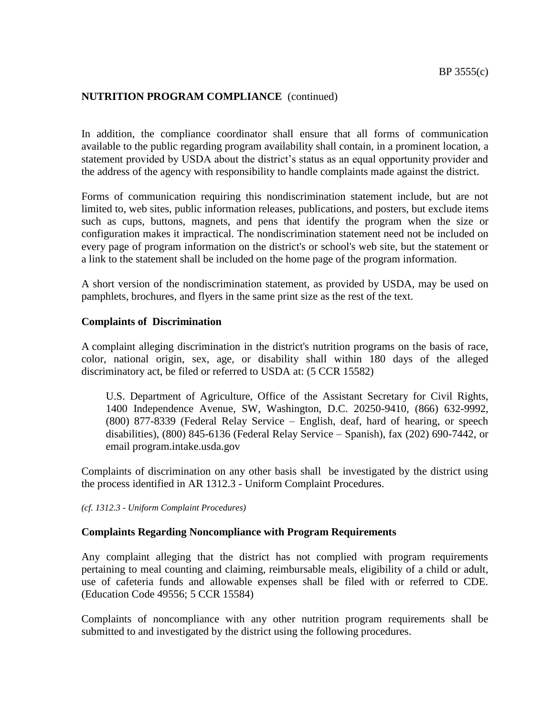In addition, the compliance coordinator shall ensure that all forms of communication available to the public regarding program availability shall contain, in a prominent location, a statement provided by USDA about the district's status as an equal opportunity provider and the address of the agency with responsibility to handle complaints made against the district.

Forms of communication requiring this nondiscrimination statement include, but are not limited to, web sites, public information releases, publications, and posters, but exclude items such as cups, buttons, magnets, and pens that identify the program when the size or configuration makes it impractical. The nondiscrimination statement need not be included on every page of program information on the district's or school's web site, but the statement or a link to the statement shall be included on the home page of the program information.

A short version of the nondiscrimination statement, as provided by USDA, may be used on pamphlets, brochures, and flyers in the same print size as the rest of the text.

### **Complaints of Discrimination**

A complaint alleging discrimination in the district's nutrition programs on the basis of race, color, national origin, sex, age, or disability shall within 180 days of the alleged discriminatory act, be filed or referred to USDA at: (5 CCR 15582)

U.S. Department of Agriculture, Office of the Assistant Secretary for Civil Rights, 1400 Independence Avenue, SW, Washington, D.C. 20250-9410, (866) 632-9992, (800) 877-8339 (Federal Relay Service – English, deaf, hard of hearing, or speech disabilities), (800) 845-6136 (Federal Relay Service – Spanish), fax (202) 690-7442, or email program.intake.usda.gov

Complaints of discrimination on any other basis shall be investigated by the district using the process identified in AR 1312.3 - Uniform Complaint Procedures.

*(cf. 1312.3 - Uniform Complaint Procedures)*

#### **Complaints Regarding Noncompliance with Program Requirements**

Any complaint alleging that the district has not complied with program requirements pertaining to meal counting and claiming, reimbursable meals, eligibility of a child or adult, use of cafeteria funds and allowable expenses shall be filed with or referred to CDE. (Education Code 49556; 5 CCR 15584)

Complaints of noncompliance with any other nutrition program requirements shall be submitted to and investigated by the district using the following procedures.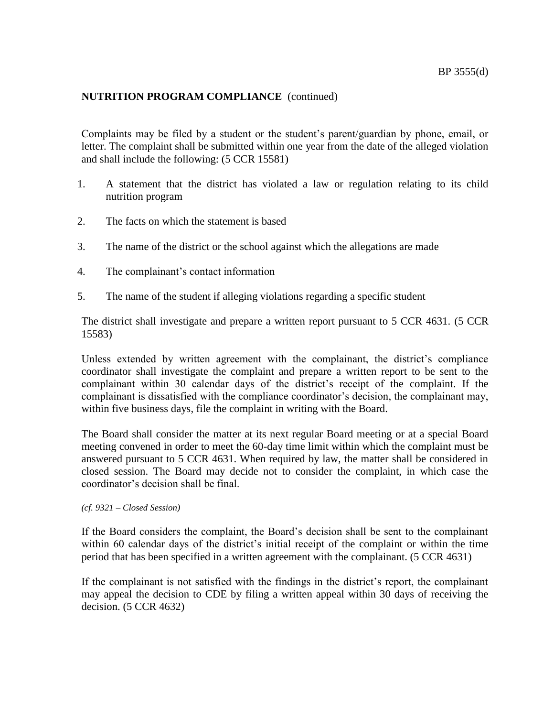Complaints may be filed by a student or the student's parent/guardian by phone, email, or letter. The complaint shall be submitted within one year from the date of the alleged violation and shall include the following: (5 CCR 15581)

- 1. A statement that the district has violated a law or regulation relating to its child nutrition program
- 2. The facts on which the statement is based
- 3. The name of the district or the school against which the allegations are made
- 4. The complainant's contact information
- 5. The name of the student if alleging violations regarding a specific student

The district shall investigate and prepare a written report pursuant to 5 CCR 4631. (5 CCR 15583)

Unless extended by written agreement with the complainant, the district's compliance coordinator shall investigate the complaint and prepare a written report to be sent to the complainant within 30 calendar days of the district's receipt of the complaint. If the complainant is dissatisfied with the compliance coordinator's decision, the complainant may, within five business days, file the complaint in writing with the Board.

The Board shall consider the matter at its next regular Board meeting or at a special Board meeting convened in order to meet the 60-day time limit within which the complaint must be answered pursuant to 5 CCR 4631. When required by law, the matter shall be considered in closed session. The Board may decide not to consider the complaint, in which case the coordinator's decision shall be final.

*(cf. 9321 – Closed Session)*

If the Board considers the complaint, the Board's decision shall be sent to the complainant within 60 calendar days of the district's initial receipt of the complaint or within the time period that has been specified in a written agreement with the complainant. (5 CCR 4631)

If the complainant is not satisfied with the findings in the district's report, the complainant may appeal the decision to CDE by filing a written appeal within 30 days of receiving the decision. (5 CCR 4632)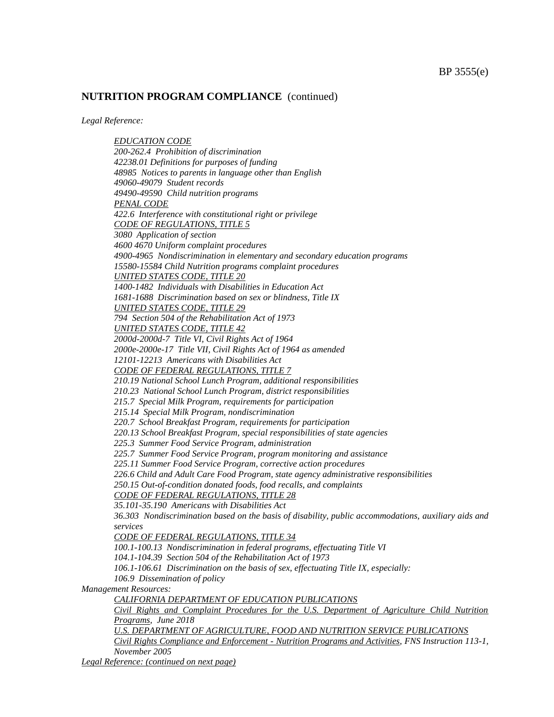*Legal Reference:*

*EDUCATION CODE 200-262.4 Prohibition of discrimination 42238.01 Definitions for purposes of funding 48985 Notices to parents in language other than English 49060-49079 Student records 49490-49590 Child nutrition programs PENAL CODE 422.6 Interference with constitutional right or privilege CODE OF REGULATIONS, TITLE 5 3080 Application of section 4600 4670 Uniform complaint procedures 4900-4965 Nondiscrimination in elementary and secondary education programs 15580-15584 Child Nutrition programs complaint procedures UNITED STATES CODE, TITLE 20 1400-1482 Individuals with Disabilities in Education Act 1681-1688 Discrimination based on sex or blindness, Title IX UNITED STATES CODE, TITLE 29 794 Section 504 of the Rehabilitation Act of 1973 UNITED STATES CODE, TITLE 42 2000d-2000d-7 Title VI, Civil Rights Act of 1964 2000e-2000e-17 Title VII, Civil Rights Act of 1964 as amended 12101-12213 Americans with Disabilities Act CODE OF FEDERAL REGULATIONS, TITLE 7 210.19 National School Lunch Program, additional responsibilities 210.23 National School Lunch Program, district responsibilities 215.7 Special Milk Program, requirements for participation 215.14 Special Milk Program, nondiscrimination 220.7 School Breakfast Program, requirements for participation 220.13 School Breakfast Program, special responsibilities of state agencies 225.3 Summer Food Service Program, administration 225.7 Summer Food Service Program, program monitoring and assistance 225.11 Summer Food Service Program, corrective action procedures 226.6 Child and Adult Care Food Program, state agency administrative responsibilities 250.15 Out-of-condition donated foods, food recalls, and complaints CODE OF FEDERAL REGULATIONS, TITLE 28 35.101-35.190 Americans with Disabilities Act 36.303 Nondiscrimination based on the basis of disability, public accommodations, auxiliary aids and services CODE OF FEDERAL REGULATIONS, TITLE 34 100.1-100.13 Nondiscrimination in federal programs, effectuating Title VI 104.1-104.39 Section 504 of the Rehabilitation Act of 1973 106.1-106.61 Discrimination on the basis of sex, effectuating Title IX, especially: 106.9 Dissemination of policy Management Resources: CALIFORNIA DEPARTMENT OF EDUCATION PUBLICATIONS Civil Rights and Complaint Procedures for the U.S. Department of Agriculture Child Nutrition Programs, June 2018 U.S. DEPARTMENT OF AGRICULTURE, FOOD AND NUTRITION SERVICE PUBLICATIONS Civil Rights Compliance and Enforcement - Nutrition Programs and Activities, FNS Instruction 113-1, November 2005*

*Legal Reference: (continued on next page)*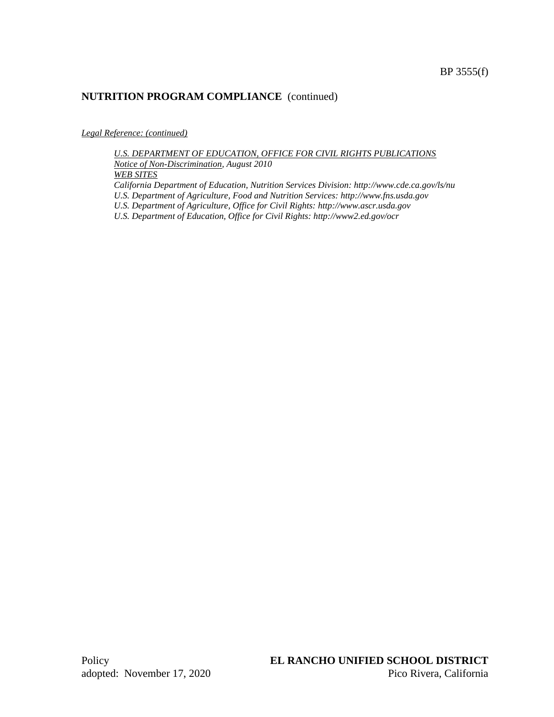*Legal Reference: (continued)* 

*U.S. DEPARTMENT OF EDUCATION, OFFICE FOR CIVIL RIGHTS PUBLICATIONS Notice of Non-Discrimination, August 2010 WEB SITES California Department of Education, Nutrition Services Division: http://www.cde.ca.gov/ls/nu U.S. Department of Agriculture, Food and Nutrition Services: http://www.fns.usda.gov U.S. Department of Agriculture, Office for Civil Rights: http://www.ascr.usda.gov U.S. Department of Education, Office for Civil Rights: http://www2.ed.gov/ocr*